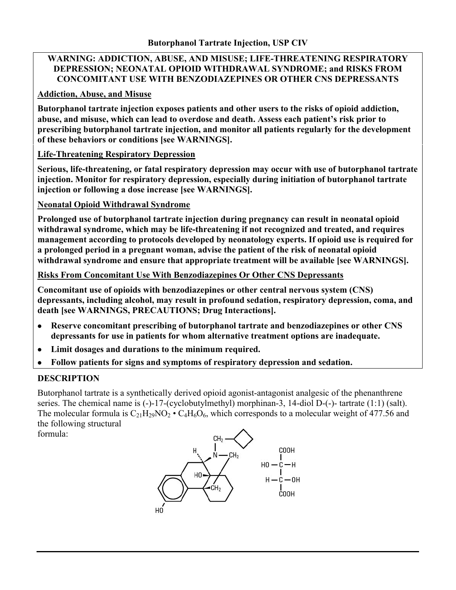#### **WARNING: ADDICTION, ABUSE, AND MISUSE; LIFE-THREATENING RESPIRATORY DEPRESSION; NEONATAL OPIOID WITHDRAWAL SYNDROME; and RISKS FROM CONCOMITANT USE WITH BENZODIAZEPINES OR OTHER CNS DEPRESSANTS**

## **Addiction, Abuse, and Misuse**

**Butorphanol tartrate injection exposes patients and other users to the risks of opioid addiction, abuse, and misuse, which can lead to overdose and death. Assess each patient's risk prior to prescribing butorphanol tartrate injection, and monitor all patients regularly for the development of these behaviors or conditions [see WARNINGS].**

## **Life-Threatening Respiratory Depression**

**Serious, life-threatening, or fatal respiratory depression may occur with use of butorphanol tartrate injection. Monitor for respiratory depression, especially during initiation of butorphanol tartrate injection or following a dose increase [see WARNINGS].** 

## **Neonatal Opioid Withdrawal Syndrome**

**Prolonged use of butorphanol tartrate injection during pregnancy can result in neonatal opioid withdrawal syndrome, which may be life-threatening if not recognized and treated, and requires management according to protocols developed by neonatology experts. If opioid use is required for a prolonged period in a pregnant woman, advise the patient of the risk of neonatal opioid withdrawal syndrome and ensure that appropriate treatment will be available [see WARNINGS].**

#### **Risks From Concomitant Use With Benzodiazepines Or Other CNS Depressants**

**Concomitant use of opioids with benzodiazepines or other central nervous system (CNS) depressants, including alcohol, may result in profound sedation, respiratory depression, coma, and death [see WARNINGS, PRECAUTIONS; Drug Interactions].**

- **Reserve concomitant prescribing of butorphanol tartrate and benzodiazepines or other CNS depressants for use in patients for whom alternative treatment options are inadequate.**
- **Limit dosages and durations to the minimum required.**
- **Follow patients for signs and symptoms of respiratory depression and sedation.**

## **DESCRIPTION**

Butorphanol tartrate is a synthetically derived opioid agonist-antagonist analgesic of the phenanthrene series. The chemical name is (-)-17-(cyclobutylmethyl) morphinan-3, 14-diol D-(-)- tartrate (1:1) (salt). The molecular formula is  $C_{21}H_{29}NO_2 \cdot C_4H_6O_6$ , which corresponds to a molecular weight of 477.56 and the following structural formula:

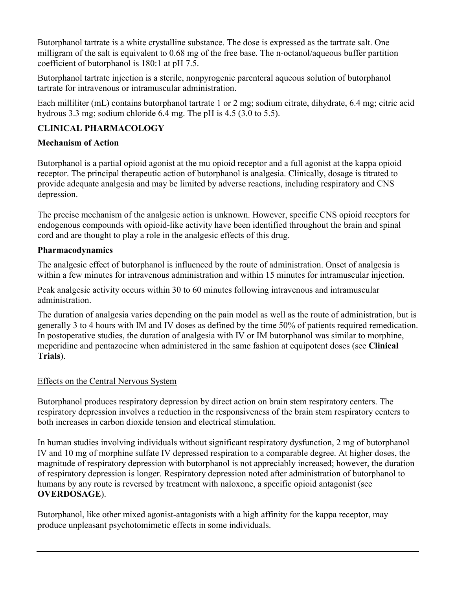Butorphanol tartrate is a white crystalline substance. The dose is expressed as the tartrate salt. One milligram of the salt is equivalent to 0.68 mg of the free base. The n-octanol/aqueous buffer partition coefficient of butorphanol is 180:1 at pH 7.5.

Butorphanol tartrate injection is a sterile, nonpyrogenic parenteral aqueous solution of butorphanol tartrate for intravenous or intramuscular administration.

Each milliliter (mL) contains butorphanol tartrate 1 or 2 mg; sodium citrate, dihydrate, 6.4 mg; citric acid hydrous 3.3 mg; sodium chloride 6.4 mg. The pH is 4.5 (3.0 to 5.5).

## **CLINICAL PHARMACOLOGY**

## **Mechanism of Action**

Butorphanol is a partial opioid agonist at the mu opioid receptor and a full agonist at the kappa opioid receptor. The principal therapeutic action of butorphanol is analgesia. Clinically, dosage is titrated to provide adequate analgesia and may be limited by adverse reactions, including respiratory and CNS depression.

The precise mechanism of the analgesic action is unknown. However, specific CNS opioid receptors for endogenous compounds with opioid-like activity have been identified throughout the brain and spinal cord and are thought to play a role in the analgesic effects of this drug.

## **Pharmacodynamics**

The analgesic effect of butorphanol is influenced by the route of administration. Onset of analgesia is within a few minutes for intravenous administration and within 15 minutes for intramuscular injection.

Peak analgesic activity occurs within 30 to 60 minutes following intravenous and intramuscular administration.

The duration of analgesia varies depending on the pain model as well as the route of administration, but is generally 3 to 4 hours with IM and IV doses as defined by the time 50% of patients required remedication. In postoperative studies, the duration of analgesia with IV or IM butorphanol was similar to morphine, meperidine and pentazocine when administered in the same fashion at equipotent doses (see **Clinical Trials**).

## Effects on the Central Nervous System

Butorphanol produces respiratory depression by direct action on brain stem respiratory centers. The respiratory depression involves a reduction in the responsiveness of the brain stem respiratory centers to both increases in carbon dioxide tension and electrical stimulation.

In human studies involving individuals without significant respiratory dysfunction, 2 mg of butorphanol IV and 10 mg of morphine sulfate IV depressed respiration to a comparable degree. At higher doses, the magnitude of respiratory depression with butorphanol is not appreciably increased; however, the duration of respiratory depression is longer. Respiratory depression noted after administration of butorphanol to humans by any route is reversed by treatment with naloxone, a specific opioid antagonist (see **OVERDOSAGE**).

Butorphanol, like other mixed agonist-antagonists with a high affinity for the kappa receptor, may produce unpleasant psychotomimetic effects in some individuals.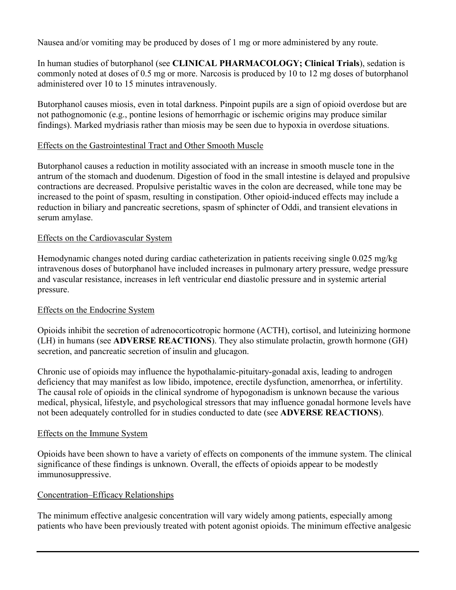Nausea and/or vomiting may be produced by doses of 1 mg or more administered by any route.

In human studies of butorphanol (see **CLINICAL PHARMACOLOGY; Clinical Trials**), sedation is commonly noted at doses of 0.5 mg or more. Narcosis is produced by 10 to 12 mg doses of butorphanol administered over 10 to 15 minutes intravenously.

Butorphanol causes miosis, even in total darkness. Pinpoint pupils are a sign of opioid overdose but are not pathognomonic (e.g., pontine lesions of hemorrhagic or ischemic origins may produce similar findings). Marked mydriasis rather than miosis may be seen due to hypoxia in overdose situations.

#### Effects on the Gastrointestinal Tract and Other Smooth Muscle

Butorphanol causes a reduction in motility associated with an increase in smooth muscle tone in the antrum of the stomach and duodenum. Digestion of food in the small intestine is delayed and propulsive contractions are decreased. Propulsive peristaltic waves in the colon are decreased, while tone may be increased to the point of spasm, resulting in constipation. Other opioid-induced effects may include a reduction in biliary and pancreatic secretions, spasm of sphincter of Oddi, and transient elevations in serum amylase.

#### Effects on the Cardiovascular System

Hemodynamic changes noted during cardiac catheterization in patients receiving single 0.025 mg/kg intravenous doses of butorphanol have included increases in pulmonary artery pressure, wedge pressure and vascular resistance, increases in left ventricular end diastolic pressure and in systemic arterial pressure.

#### Effects on the Endocrine System

Opioids inhibit the secretion of adrenocorticotropic hormone (ACTH), cortisol, and luteinizing hormone (LH) in humans (see **ADVERSE REACTIONS**). They also stimulate prolactin, growth hormone (GH) secretion, and pancreatic secretion of insulin and glucagon.

Chronic use of opioids may influence the hypothalamic-pituitary-gonadal axis, leading to androgen deficiency that may manifest as low libido, impotence, erectile dysfunction, amenorrhea, or infertility. The causal role of opioids in the clinical syndrome of hypogonadism is unknown because the various medical, physical, lifestyle, and psychological stressors that may influence gonadal hormone levels have not been adequately controlled for in studies conducted to date (see **ADVERSE REACTIONS**).

#### Effects on the Immune System

Opioids have been shown to have a variety of effects on components of the immune system. The clinical significance of these findings is unknown. Overall, the effects of opioids appear to be modestly immunosuppressive.

#### Concentration–Efficacy Relationships

The minimum effective analgesic concentration will vary widely among patients, especially among patients who have been previously treated with potent agonist opioids. The minimum effective analgesic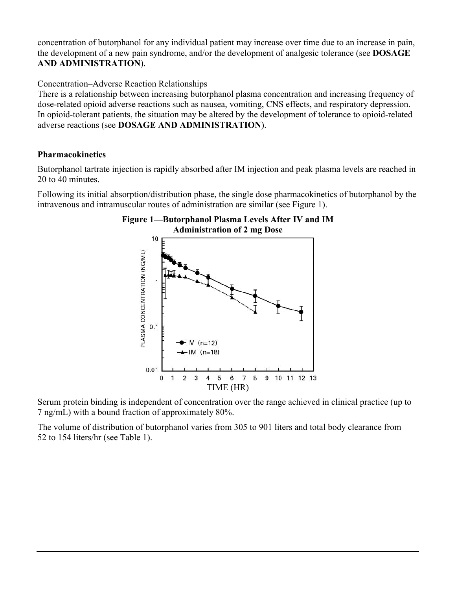concentration of butorphanol for any individual patient may increase over time due to an increase in pain, the development of a new pain syndrome, and/or the development of analgesic tolerance (see **DOSAGE AND ADMINISTRATION**).

#### Concentration–Adverse Reaction Relationships

There is a relationship between increasing butorphanol plasma concentration and increasing frequency of dose-related opioid adverse reactions such as nausea, vomiting, CNS effects, and respiratory depression. In opioid-tolerant patients, the situation may be altered by the development of tolerance to opioid-related adverse reactions (see **DOSAGE AND ADMINISTRATION**).

#### **Pharmacokinetics**

Butorphanol tartrate injection is rapidly absorbed after IM injection and peak plasma levels are reached in 20 to 40 minutes.

Following its initial absorption/distribution phase, the single dose pharmacokinetics of butorphanol by the intravenous and intramuscular routes of administration are similar (see Figure 1).



Serum protein binding is independent of concentration over the range achieved in clinical practice (up to 7 ng/mL) with a bound fraction of approximately 80%.

The volume of distribution of butorphanol varies from 305 to 901 liters and total body clearance from 52 to 154 liters/hr (see Table 1).

# **Figure 1—Butorphanol Plasma Levels After IV and IM**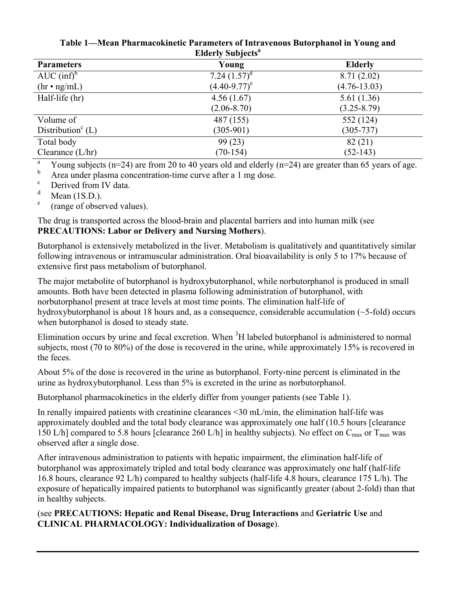| <b>Parameters</b>               | Young             | <b>Elderly</b>   |
|---------------------------------|-------------------|------------------|
| $AUC (inf)^b$                   | 7.24 $(1.57)^d$   | 8.71(2.02)       |
| $(hr \cdot ng/mL)$              | $(4.40 - 9.77)^e$ | $(4.76 - 13.03)$ |
| Half-life (hr)                  | 4.56(1.67)        | 5.61(1.36)       |
|                                 | $(2.06 - 8.70)$   | $(3.25 - 8.79)$  |
| Volume of                       | 487 (155)         | 552 (124)        |
| Distribution <sup>c</sup> $(L)$ | $(305-901)$       | $(305 - 737)$    |
| Total body                      | 99(23)            | 82(21)           |
| Clearance $(L/hr)$              | $(70-154)$        | $(52-143)$       |

**Table 1—Mean Pharmacokinetic Parameters of Intravenous Butorphanol in Young and Elderly Subjects<sup>a</sup>**

<sup>a</sup> Young subjects (n=24) are from 20 to 40 years old and elderly (n=24) are greater than 65 years of age.

b Area under plasma concentration-time curve after a 1 mg dose.<br>  $\sum_{n=1}^{\infty}$ 

<sup>c</sup> Derived from IV data.

Mean  $(1S.D.)$ .

e (range of observed values).

The drug is transported across the blood-brain and placental barriers and into human milk (see **PRECAUTIONS: Labor or Delivery and Nursing Mothers**).

Butorphanol is extensively metabolized in the liver. Metabolism is qualitatively and quantitatively similar following intravenous or intramuscular administration. Oral bioavailability is only 5 to 17% because of extensive first pass metabolism of butorphanol.

The major metabolite of butorphanol is hydroxybutorphanol, while norbutorphanol is produced in small amounts. Both have been detected in plasma following administration of butorphanol, with norbutorphanol present at trace levels at most time points. The elimination half-life of hydroxybutorphanol is about 18 hours and, as a consequence, considerable accumulation (~5-fold) occurs when butorphanol is dosed to steady state.

Elimination occurs by urine and fecal excretion. When <sup>3</sup>H labeled butorphanol is administered to normal subjects, most (70 to 80%) of the dose is recovered in the urine, while approximately 15% is recovered in the feces.

About 5% of the dose is recovered in the urine as butorphanol. Forty-nine percent is eliminated in the urine as hydroxybutorphanol. Less than 5% is excreted in the urine as norbutorphanol.

Butorphanol pharmacokinetics in the elderly differ from younger patients (see Table 1).

In renally impaired patients with creatinine clearances <30 mL/min, the elimination half-life was approximately doubled and the total body clearance was approximately one half (10.5 hours [clearance 150 L/h] compared to 5.8 hours [clearance 260 L/h] in healthy subjects). No effect on  $C_{\text{max}}$  or  $T_{\text{max}}$  was observed after a single dose.

After intravenous administration to patients with hepatic impairment, the elimination half-life of butorphanol was approximately tripled and total body clearance was approximately one half (half-life 16.8 hours, clearance 92 L/h) compared to healthy subjects (half-life 4.8 hours, clearance 175 L/h). The exposure of hepatically impaired patients to butorphanol was significantly greater (about 2-fold) than that in healthy subjects.

(see **PRECAUTIONS: Hepatic and Renal Disease, Drug Interactions** and **Geriatric Use** and **CLINICAL PHARMACOLOGY: Individualization of Dosage**).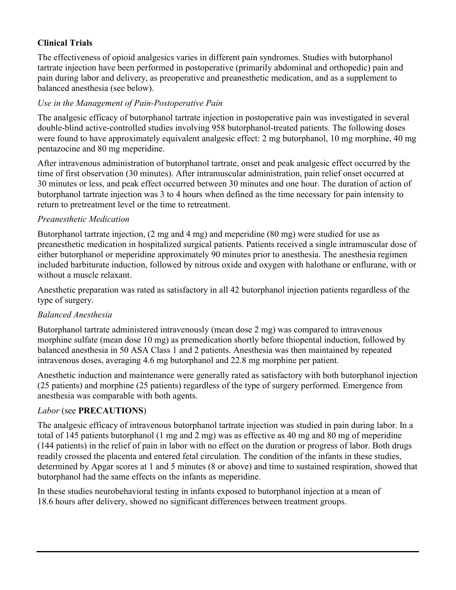## **Clinical Trials**

The effectiveness of opioid analgesics varies in different pain syndromes. Studies with butorphanol tartrate injection have been performed in postoperative (primarily abdominal and orthopedic) pain and pain during labor and delivery, as preoperative and preanesthetic medication, and as a supplement to balanced anesthesia (see below).

## *Use in the Management of Pain-Postoperative Pain*

The analgesic efficacy of butorphanol tartrate injection in postoperative pain was investigated in several double-blind active-controlled studies involving 958 butorphanol-treated patients. The following doses were found to have approximately equivalent analgesic effect: 2 mg butorphanol, 10 mg morphine, 40 mg pentazocine and 80 mg meperidine.

After intravenous administration of butorphanol tartrate, onset and peak analgesic effect occurred by the time of first observation (30 minutes). After intramuscular administration, pain relief onset occurred at 30 minutes or less, and peak effect occurred between 30 minutes and one hour. The duration of action of butorphanol tartrate injection was 3 to 4 hours when defined as the time necessary for pain intensity to return to pretreatment level or the time to retreatment.

## *Preanesthetic Medication*

Butorphanol tartrate injection, (2 mg and 4 mg) and meperidine (80 mg) were studied for use as preanesthetic medication in hospitalized surgical patients. Patients received a single intramuscular dose of either butorphanol or meperidine approximately 90 minutes prior to anesthesia. The anesthesia regimen included barbiturate induction, followed by nitrous oxide and oxygen with halothane or enflurane, with or without a muscle relaxant.

Anesthetic preparation was rated as satisfactory in all 42 butorphanol injection patients regardless of the type of surgery.

## *Balanced Anesthesia*

Butorphanol tartrate administered intravenously (mean dose 2 mg) was compared to intravenous morphine sulfate (mean dose 10 mg) as premedication shortly before thiopental induction, followed by balanced anesthesia in 50 ASA Class 1 and 2 patients. Anesthesia was then maintained by repeated intravenous doses, averaging 4.6 mg butorphanol and 22.8 mg morphine per patient.

Anesthetic induction and maintenance were generally rated as satisfactory with both butorphanol injection (25 patients) and morphine (25 patients) regardless of the type of surgery performed. Emergence from anesthesia was comparable with both agents.

#### *Labor* (see **PRECAUTIONS**)

The analgesic efficacy of intravenous butorphanol tartrate injection was studied in pain during labor. In a total of 145 patients butorphanol (1 mg and 2 mg) was as effective as 40 mg and 80 mg of meperidine (144 patients) in the relief of pain in labor with no effect on the duration or progress of labor. Both drugs readily crossed the placenta and entered fetal circulation. The condition of the infants in these studies, determined by Apgar scores at 1 and 5 minutes (8 or above) and time to sustained respiration, showed that butorphanol had the same effects on the infants as meperidine.

In these studies neurobehavioral testing in infants exposed to butorphanol injection at a mean of 18.6 hours after delivery, showed no significant differences between treatment groups.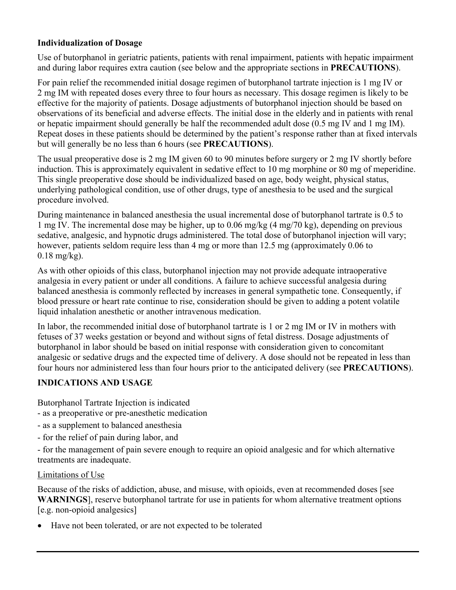## **Individualization of Dosage**

Use of butorphanol in geriatric patients, patients with renal impairment, patients with hepatic impairment and during labor requires extra caution (see below and the appropriate sections in **PRECAUTIONS**).

For pain relief the recommended initial dosage regimen of butorphanol tartrate injection is 1 mg IV or 2 mg IM with repeated doses every three to four hours as necessary. This dosage regimen is likely to be effective for the majority of patients. Dosage adjustments of butorphanol injection should be based on observations of its beneficial and adverse effects. The initial dose in the elderly and in patients with renal or hepatic impairment should generally be half the recommended adult dose (0.5 mg IV and 1 mg IM). Repeat doses in these patients should be determined by the patient's response rather than at fixed intervals but will generally be no less than 6 hours (see **PRECAUTIONS**).

The usual preoperative dose is 2 mg IM given 60 to 90 minutes before surgery or 2 mg IV shortly before induction. This is approximately equivalent in sedative effect to 10 mg morphine or 80 mg of meperidine. This single preoperative dose should be individualized based on age, body weight, physical status, underlying pathological condition, use of other drugs, type of anesthesia to be used and the surgical procedure involved.

During maintenance in balanced anesthesia the usual incremental dose of butorphanol tartrate is 0.5 to 1 mg IV. The incremental dose may be higher, up to 0.06 mg/kg (4 mg/70 kg), depending on previous sedative, analgesic, and hypnotic drugs administered. The total dose of butorphanol injection will vary; however, patients seldom require less than 4 mg or more than 12.5 mg (approximately 0.06 to  $0.18$  mg/kg).

As with other opioids of this class, butorphanol injection may not provide adequate intraoperative analgesia in every patient or under all conditions. A failure to achieve successful analgesia during balanced anesthesia is commonly reflected by increases in general sympathetic tone. Consequently, if blood pressure or heart rate continue to rise, consideration should be given to adding a potent volatile liquid inhalation anesthetic or another intravenous medication.

In labor, the recommended initial dose of butorphanol tartrate is 1 or 2 mg IM or IV in mothers with fetuses of 37 weeks gestation or beyond and without signs of fetal distress. Dosage adjustments of butorphanol in labor should be based on initial response with consideration given to concomitant analgesic or sedative drugs and the expected time of delivery. A dose should not be repeated in less than four hours nor administered less than four hours prior to the anticipated delivery (see **PRECAUTIONS**).

#### **INDICATIONS AND USAGE**

Butorphanol Tartrate Injection is indicated

- as a preoperative or pre-anesthetic medication
- as a supplement to balanced anesthesia
- for the relief of pain during labor, and

- for the management of pain severe enough to require an opioid analgesic and for which alternative treatments are inadequate.

#### Limitations of Use

Because of the risks of addiction, abuse, and misuse, with opioids, even at recommended doses [see **WARNINGS**], reserve butorphanol tartrate for use in patients for whom alternative treatment options [e.g. non-opioid analgesics]

Have not been tolerated, or are not expected to be tolerated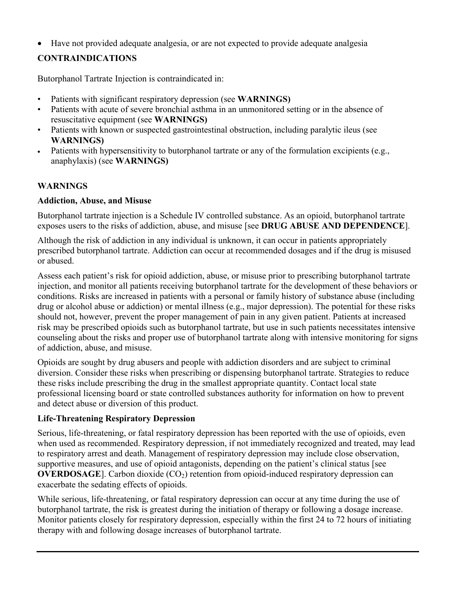Have not provided adequate analgesia, or are not expected to provide adequate analgesia

# **CONTRAINDICATIONS**

Butorphanol Tartrate Injection is contraindicated in:

- Patients with significant respiratory depression (see **WARNINGS)**
- Patients with acute of severe bronchial asthma in an unmonitored setting or in the absence of resuscitative equipment (see **WARNINGS)**
- Patients with known or suspected gastrointestinal obstruction, including paralytic ileus (see **WARNINGS)**
- Patients with hypersensitivity to butorphanol tartrate or any of the formulation excipients (e.g., anaphylaxis) (see **WARNINGS)**

## **WARNINGS**

## **Addiction, Abuse, and Misuse**

Butorphanol tartrate injection is a Schedule IV controlled substance. As an opioid, butorphanol tartrate exposes users to the risks of addiction, abuse, and misuse [see **DRUG ABUSE AND DEPENDENCE**].

Although the risk of addiction in any individual is unknown, it can occur in patients appropriately prescribed butorphanol tartrate. Addiction can occur at recommended dosages and if the drug is misused or abused.

Assess each patient's risk for opioid addiction, abuse, or misuse prior to prescribing butorphanol tartrate injection, and monitor all patients receiving butorphanol tartrate for the development of these behaviors or conditions. Risks are increased in patients with a personal or family history of substance abuse (including drug or alcohol abuse or addiction) or mental illness (e.g., major depression). The potential for these risks should not, however, prevent the proper management of pain in any given patient. Patients at increased risk may be prescribed opioids such as butorphanol tartrate, but use in such patients necessitates intensive counseling about the risks and proper use of butorphanol tartrate along with intensive monitoring for signs of addiction, abuse, and misuse.

Opioids are sought by drug abusers and people with addiction disorders and are subject to criminal diversion. Consider these risks when prescribing or dispensing butorphanol tartrate. Strategies to reduce these risks include prescribing the drug in the smallest appropriate quantity. Contact local state professional licensing board or state controlled substances authority for information on how to prevent and detect abuse or diversion of this product.

## **Life-Threatening Respiratory Depression**

Serious, life-threatening, or fatal respiratory depression has been reported with the use of opioids, even when used as recommended. Respiratory depression, if not immediately recognized and treated, may lead to respiratory arrest and death. Management of respiratory depression may include close observation, supportive measures, and use of opioid antagonists, depending on the patient's clinical status [see **OVERDOSAGE**]. Carbon dioxide  $(CO<sub>2</sub>)$  retention from opioid-induced respiratory depression can exacerbate the sedating effects of opioids.

While serious, life-threatening, or fatal respiratory depression can occur at any time during the use of butorphanol tartrate, the risk is greatest during the initiation of therapy or following a dosage increase. Monitor patients closely for respiratory depression, especially within the first 24 to 72 hours of initiating therapy with and following dosage increases of butorphanol tartrate.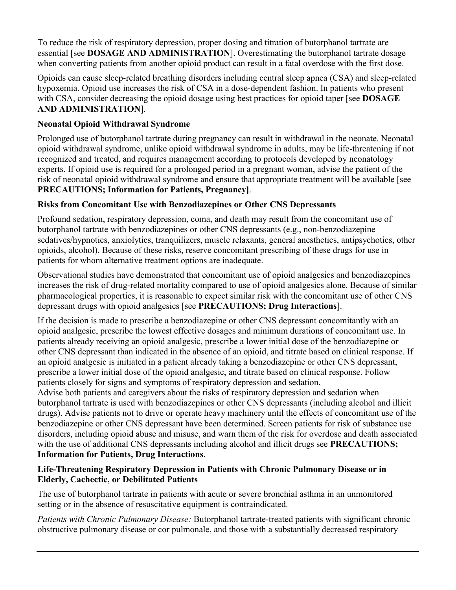To reduce the risk of respiratory depression, proper dosing and titration of butorphanol tartrate are essential [see **DOSAGE AND ADMINISTRATION**]. Overestimating the butorphanol tartrate dosage when converting patients from another opioid product can result in a fatal overdose with the first dose.

Opioids can cause sleep-related breathing disorders including central sleep apnea (CSA) and sleep-related hypoxemia. Opioid use increases the risk of CSA in a dose-dependent fashion. In patients who present with CSA, consider decreasing the opioid dosage using best practices for opioid taper [see **DOSAGE AND ADMINISTRATION**].

## **Neonatal Opioid Withdrawal Syndrome**

Prolonged use of butorphanol tartrate during pregnancy can result in withdrawal in the neonate. Neonatal opioid withdrawal syndrome, unlike opioid withdrawal syndrome in adults, may be life-threatening if not recognized and treated, and requires management according to protocols developed by neonatology experts. If opioid use is required for a prolonged period in a pregnant woman, advise the patient of the risk of neonatal opioid withdrawal syndrome and ensure that appropriate treatment will be available [see **PRECAUTIONS; Information for Patients, Pregnancy]**.

## **Risks from Concomitant Use with Benzodiazepines or Other CNS Depressants**

Profound sedation, respiratory depression, coma, and death may result from the concomitant use of butorphanol tartrate with benzodiazepines or other CNS depressants (e.g., non-benzodiazepine sedatives/hypnotics, anxiolytics, tranquilizers, muscle relaxants, general anesthetics, antipsychotics, other opioids, alcohol). Because of these risks, reserve concomitant prescribing of these drugs for use in patients for whom alternative treatment options are inadequate.

Observational studies have demonstrated that concomitant use of opioid analgesics and benzodiazepines increases the risk of drug-related mortality compared to use of opioid analgesics alone. Because of similar pharmacological properties, it is reasonable to expect similar risk with the concomitant use of other CNS depressant drugs with opioid analgesics [see **PRECAUTIONS; Drug Interactions**].

If the decision is made to prescribe a benzodiazepine or other CNS depressant concomitantly with an opioid analgesic, prescribe the lowest effective dosages and minimum durations of concomitant use. In patients already receiving an opioid analgesic, prescribe a lower initial dose of the benzodiazepine or other CNS depressant than indicated in the absence of an opioid, and titrate based on clinical response. If an opioid analgesic is initiated in a patient already taking a benzodiazepine or other CNS depressant, prescribe a lower initial dose of the opioid analgesic, and titrate based on clinical response. Follow patients closely for signs and symptoms of respiratory depression and sedation.

Advise both patients and caregivers about the risks of respiratory depression and sedation when butorphanol tartrate is used with benzodiazepines or other CNS depressants (including alcohol and illicit drugs). Advise patients not to drive or operate heavy machinery until the effects of concomitant use of the benzodiazepine or other CNS depressant have been determined. Screen patients for risk of substance use disorders, including opioid abuse and misuse, and warn them of the risk for overdose and death associated with the use of additional CNS depressants including alcohol and illicit drugs see **PRECAUTIONS; Information for Patients, Drug Interactions**.

## **Life-Threatening Respiratory Depression in Patients with Chronic Pulmonary Disease or in Elderly, Cachectic, or Debilitated Patients**

The use of butorphanol tartrate in patients with acute or severe bronchial asthma in an unmonitored setting or in the absence of resuscitative equipment is contraindicated.

*Patients with Chronic Pulmonary Disease:* Butorphanol tartrate-treated patients with significant chronic obstructive pulmonary disease or cor pulmonale, and those with a substantially decreased respiratory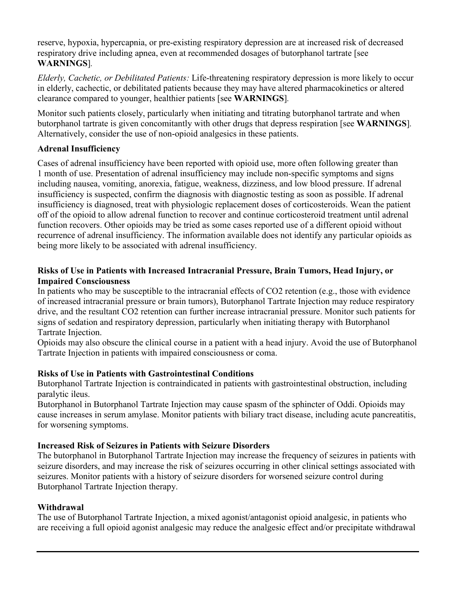reserve, hypoxia, hypercapnia, or pre-existing respiratory depression are at increased risk of decreased respiratory drive including apnea, even at recommended dosages of butorphanol tartrate [see **WARNINGS**]*.*

*Elderly, Cachetic, or Debilitated Patients:* Life-threatening respiratory depression is more likely to occur in elderly, cachectic, or debilitated patients because they may have altered pharmacokinetics or altered clearance compared to younger, healthier patients [see **WARNINGS**]*.*

Monitor such patients closely, particularly when initiating and titrating butorphanol tartrate and when butorphanol tartrate is given concomitantly with other drugs that depress respiration [see **WARNINGS**]*.*  Alternatively, consider the use of non-opioid analgesics in these patients.

## **Adrenal Insufficiency**

Cases of adrenal insufficiency have been reported with opioid use, more often following greater than 1 month of use. Presentation of adrenal insufficiency may include non-specific symptoms and signs including nausea, vomiting, anorexia, fatigue, weakness, dizziness, and low blood pressure. If adrenal insufficiency is suspected, confirm the diagnosis with diagnostic testing as soon as possible. If adrenal insufficiency is diagnosed, treat with physiologic replacement doses of corticosteroids. Wean the patient off of the opioid to allow adrenal function to recover and continue corticosteroid treatment until adrenal function recovers. Other opioids may be tried as some cases reported use of a different opioid without recurrence of adrenal insufficiency. The information available does not identify any particular opioids as being more likely to be associated with adrenal insufficiency.

#### **Risks of Use in Patients with Increased Intracranial Pressure, Brain Tumors, Head Injury, or Impaired Consciousness**

In patients who may be susceptible to the intracranial effects of CO2 retention (e.g., those with evidence of increased intracranial pressure or brain tumors), Butorphanol Tartrate Injection may reduce respiratory drive, and the resultant CO2 retention can further increase intracranial pressure. Monitor such patients for signs of sedation and respiratory depression, particularly when initiating therapy with Butorphanol Tartrate Injection.

Opioids may also obscure the clinical course in a patient with a head injury. Avoid the use of Butorphanol Tartrate Injection in patients with impaired consciousness or coma.

## **Risks of Use in Patients with Gastrointestinal Conditions**

Butorphanol Tartrate Injection is contraindicated in patients with gastrointestinal obstruction, including paralytic ileus.

Butorphanol in Butorphanol Tartrate Injection may cause spasm of the sphincter of Oddi. Opioids may cause increases in serum amylase. Monitor patients with biliary tract disease, including acute pancreatitis, for worsening symptoms.

## **Increased Risk of Seizures in Patients with Seizure Disorders**

The butorphanol in Butorphanol Tartrate Injection may increase the frequency of seizures in patients with seizure disorders, and may increase the risk of seizures occurring in other clinical settings associated with seizures. Monitor patients with a history of seizure disorders for worsened seizure control during Butorphanol Tartrate Injection therapy.

## **Withdrawal**

The use of Butorphanol Tartrate Injection, a mixed agonist/antagonist opioid analgesic, in patients who are receiving a full opioid agonist analgesic may reduce the analgesic effect and/or precipitate withdrawal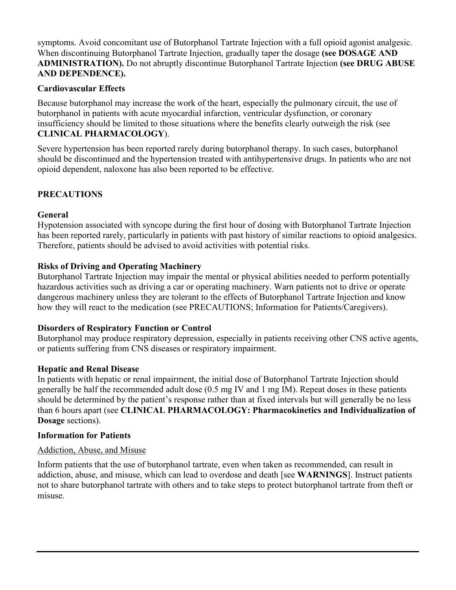symptoms. Avoid concomitant use of Butorphanol Tartrate Injection with a full opioid agonist analgesic. When discontinuing Butorphanol Tartrate Injection, gradually taper the dosage **(see DOSAGE AND ADMINISTRATION).** Do not abruptly discontinue Butorphanol Tartrate Injection **(see DRUG ABUSE AND DEPENDENCE).**

#### **Cardiovascular Effects**

Because butorphanol may increase the work of the heart, especially the pulmonary circuit, the use of butorphanol in patients with acute myocardial infarction, ventricular dysfunction, or coronary insufficiency should be limited to those situations where the benefits clearly outweigh the risk (see **CLINICAL PHARMACOLOGY**).

Severe hypertension has been reported rarely during butorphanol therapy. In such cases, butorphanol should be discontinued and the hypertension treated with antihypertensive drugs. In patients who are not opioid dependent, naloxone has also been reported to be effective.

## **PRECAUTIONS**

#### **General**

Hypotension associated with syncope during the first hour of dosing with Butorphanol Tartrate Injection has been reported rarely, particularly in patients with past history of similar reactions to opioid analgesics. Therefore, patients should be advised to avoid activities with potential risks.

## **Risks of Driving and Operating Machinery**

Butorphanol Tartrate Injection may impair the mental or physical abilities needed to perform potentially hazardous activities such as driving a car or operating machinery. Warn patients not to drive or operate dangerous machinery unless they are tolerant to the effects of Butorphanol Tartrate Injection and know how they will react to the medication (see PRECAUTIONS; Information for Patients/Caregivers).

#### **Disorders of Respiratory Function or Control**

Butorphanol may produce respiratory depression, especially in patients receiving other CNS active agents, or patients suffering from CNS diseases or respiratory impairment.

#### **Hepatic and Renal Disease**

In patients with hepatic or renal impairment, the initial dose of Butorphanol Tartrate Injection should generally be half the recommended adult dose (0.5 mg IV and 1 mg IM). Repeat doses in these patients should be determined by the patient's response rather than at fixed intervals but will generally be no less than 6 hours apart (see **CLINICAL PHARMACOLOGY: Pharmacokinetics and Individualization of Dosage** sections).

#### **Information for Patients**

#### Addiction, Abuse, and Misuse

Inform patients that the use of butorphanol tartrate, even when taken as recommended, can result in addiction, abuse, and misuse, which can lead to overdose and death [see **WARNINGS**]. Instruct patients not to share butorphanol tartrate with others and to take steps to protect butorphanol tartrate from theft or misuse.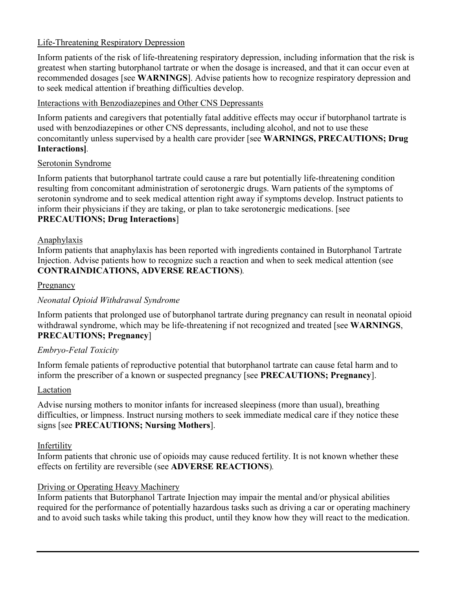## Life-Threatening Respiratory Depression

Inform patients of the risk of life-threatening respiratory depression, including information that the risk is greatest when starting butorphanol tartrate or when the dosage is increased, and that it can occur even at recommended dosages [see **WARNINGS**]. Advise patients how to recognize respiratory depression and to seek medical attention if breathing difficulties develop.

## Interactions with Benzodiazepines and Other CNS Depressants

Inform patients and caregivers that potentially fatal additive effects may occur if butorphanol tartrate is used with benzodiazepines or other CNS depressants, including alcohol, and not to use these concomitantly unless supervised by a health care provider [see **WARNINGS, PRECAUTIONS; Drug Interactions]***.*

#### Serotonin Syndrome

Inform patients that butorphanol tartrate could cause a rare but potentially life-threatening condition resulting from concomitant administration of serotonergic drugs. Warn patients of the symptoms of serotonin syndrome and to seek medical attention right away if symptoms develop. Instruct patients to inform their physicians if they are taking, or plan to take serotonergic medications. [see **PRECAUTIONS; Drug Interactions**]

#### Anaphylaxis

Inform patients that anaphylaxis has been reported with ingredients contained in Butorphanol Tartrate Injection. Advise patients how to recognize such a reaction and when to seek medical attention (see **CONTRAINDICATIONS, ADVERSE REACTIONS**)*.*

#### **Pregnancy**

#### *Neonatal Opioid Withdrawal Syndrome*

Inform patients that prolonged use of butorphanol tartrate during pregnancy can result in neonatal opioid withdrawal syndrome, which may be life-threatening if not recognized and treated [see **WARNINGS**, **PRECAUTIONS; Pregnancy**]

#### *Embryo-Fetal Toxicity*

Inform female patients of reproductive potential that butorphanol tartrate can cause fetal harm and to inform the prescriber of a known or suspected pregnancy [see **PRECAUTIONS; Pregnancy**].

#### Lactation

Advise nursing mothers to monitor infants for increased sleepiness (more than usual), breathing difficulties, or limpness. Instruct nursing mothers to seek immediate medical care if they notice these signs [see **PRECAUTIONS; Nursing Mothers**].

## Infertility

Inform patients that chronic use of opioids may cause reduced fertility. It is not known whether these effects on fertility are reversible (see **ADVERSE REACTIONS**)*.*

#### Driving or Operating Heavy Machinery

Inform patients that Butorphanol Tartrate Injection may impair the mental and/or physical abilities required for the performance of potentially hazardous tasks such as driving a car or operating machinery and to avoid such tasks while taking this product, until they know how they will react to the medication.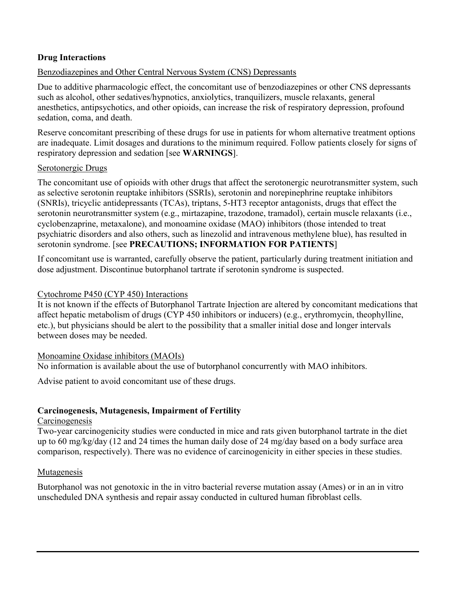## **Drug Interactions**

## Benzodiazepines and Other Central Nervous System (CNS) Depressants

Due to additive pharmacologic effect, the concomitant use of benzodiazepines or other CNS depressants such as alcohol, other sedatives/hypnotics, anxiolytics, tranquilizers, muscle relaxants, general anesthetics, antipsychotics, and other opioids, can increase the risk of respiratory depression, profound sedation, coma, and death.

Reserve concomitant prescribing of these drugs for use in patients for whom alternative treatment options are inadequate. Limit dosages and durations to the minimum required. Follow patients closely for signs of respiratory depression and sedation [see **WARNINGS**].

#### Serotonergic Drugs

The concomitant use of opioids with other drugs that affect the serotonergic neurotransmitter system, such as selective serotonin reuptake inhibitors (SSRIs), serotonin and norepinephrine reuptake inhibitors (SNRIs), tricyclic antidepressants (TCAs), triptans, 5-HT3 receptor antagonists, drugs that effect the serotonin neurotransmitter system (e.g., mirtazapine, trazodone, tramadol), certain muscle relaxants (i.e., cyclobenzaprine, metaxalone), and monoamine oxidase (MAO) inhibitors (those intended to treat psychiatric disorders and also others, such as linezolid and intravenous methylene blue), has resulted in serotonin syndrome. [see **PRECAUTIONS; INFORMATION FOR PATIENTS**]

If concomitant use is warranted, carefully observe the patient, particularly during treatment initiation and dose adjustment. Discontinue butorphanol tartrate if serotonin syndrome is suspected.

#### Cytochrome P450 (CYP 450) Interactions

It is not known if the effects of Butorphanol Tartrate Injection are altered by concomitant medications that affect hepatic metabolism of drugs (CYP 450 inhibitors or inducers) (e.g., erythromycin, theophylline, etc.), but physicians should be alert to the possibility that a smaller initial dose and longer intervals between doses may be needed.

#### Monoamine Oxidase inhibitors (MAOIs)

No information is available about the use of butorphanol concurrently with MAO inhibitors.

Advise patient to avoid concomitant use of these drugs.

#### **Carcinogenesis, Mutagenesis, Impairment of Fertility**

#### **Carcinogenesis**

Two-year carcinogenicity studies were conducted in mice and rats given butorphanol tartrate in the diet up to 60 mg/kg/day (12 and 24 times the human daily dose of 24 mg/day based on a body surface area comparison, respectively). There was no evidence of carcinogenicity in either species in these studies.

#### Mutagenesis

Butorphanol was not genotoxic in the in vitro bacterial reverse mutation assay (Ames) or in an in vitro unscheduled DNA synthesis and repair assay conducted in cultured human fibroblast cells.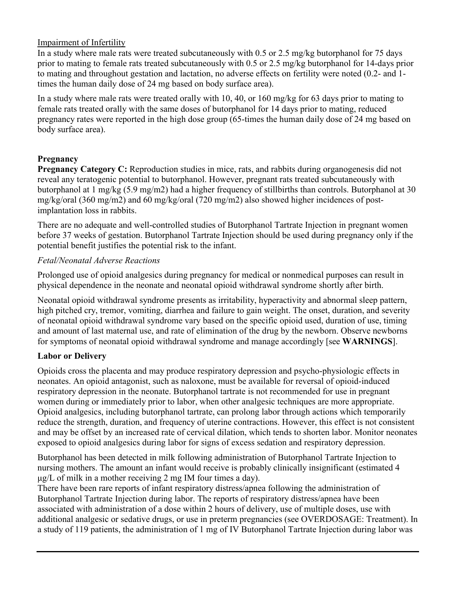## Impairment of Infertility

In a study where male rats were treated subcutaneously with 0.5 or 2.5 mg/kg butorphanol for 75 days prior to mating to female rats treated subcutaneously with 0.5 or 2.5 mg/kg butorphanol for 14-days prior to mating and throughout gestation and lactation, no adverse effects on fertility were noted (0.2- and 1 times the human daily dose of 24 mg based on body surface area).

In a study where male rats were treated orally with 10, 40, or 160 mg/kg for 63 days prior to mating to female rats treated orally with the same doses of butorphanol for 14 days prior to mating, reduced pregnancy rates were reported in the high dose group (65-times the human daily dose of 24 mg based on body surface area).

## **Pregnancy**

**Pregnancy Category C:** Reproduction studies in mice, rats, and rabbits during organogenesis did not reveal any teratogenic potential to butorphanol. However, pregnant rats treated subcutaneously with butorphanol at 1 mg/kg (5.9 mg/m2) had a higher frequency of stillbirths than controls. Butorphanol at 30 mg/kg/oral (360 mg/m2) and 60 mg/kg/oral (720 mg/m2) also showed higher incidences of postimplantation loss in rabbits.

There are no adequate and well-controlled studies of Butorphanol Tartrate Injection in pregnant women before 37 weeks of gestation. Butorphanol Tartrate Injection should be used during pregnancy only if the potential benefit justifies the potential risk to the infant.

## *Fetal/Neonatal Adverse Reactions*

Prolonged use of opioid analgesics during pregnancy for medical or nonmedical purposes can result in physical dependence in the neonate and neonatal opioid withdrawal syndrome shortly after birth.

Neonatal opioid withdrawal syndrome presents as irritability, hyperactivity and abnormal sleep pattern, high pitched cry, tremor, vomiting, diarrhea and failure to gain weight. The onset, duration, and severity of neonatal opioid withdrawal syndrome vary based on the specific opioid used, duration of use, timing and amount of last maternal use, and rate of elimination of the drug by the newborn. Observe newborns for symptoms of neonatal opioid withdrawal syndrome and manage accordingly [see **WARNINGS**].

## **Labor or Delivery**

Opioids cross the placenta and may produce respiratory depression and psycho-physiologic effects in neonates. An opioid antagonist, such as naloxone, must be available for reversal of opioid-induced respiratory depression in the neonate. Butorphanol tartrate is not recommended for use in pregnant women during or immediately prior to labor, when other analgesic techniques are more appropriate. Opioid analgesics, including butorphanol tartrate, can prolong labor through actions which temporarily reduce the strength, duration, and frequency of uterine contractions. However, this effect is not consistent and may be offset by an increased rate of cervical dilation, which tends to shorten labor. Monitor neonates exposed to opioid analgesics during labor for signs of excess sedation and respiratory depression.

Butorphanol has been detected in milk following administration of Butorphanol Tartrate Injection to nursing mothers. The amount an infant would receive is probably clinically insignificant (estimated 4 μg/L of milk in a mother receiving 2 mg IM four times a day).

There have been rare reports of infant respiratory distress/apnea following the administration of Butorphanol Tartrate Injection during labor. The reports of respiratory distress/apnea have been associated with administration of a dose within 2 hours of delivery, use of multiple doses, use with additional analgesic or sedative drugs, or use in preterm pregnancies (see OVERDOSAGE: Treatment). In a study of 119 patients, the administration of 1 mg of IV Butorphanol Tartrate Injection during labor was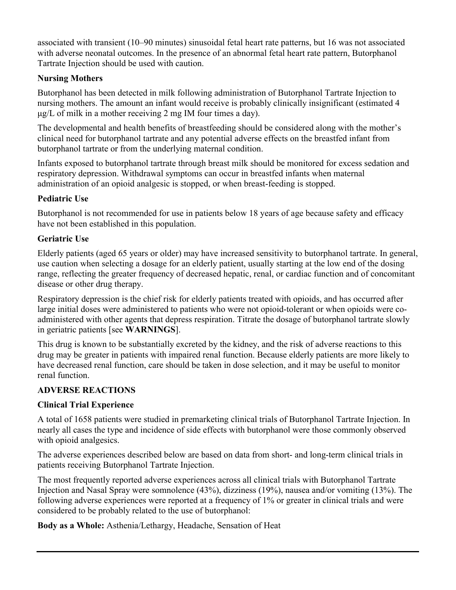associated with transient (10–90 minutes) sinusoidal fetal heart rate patterns, but 16 was not associated with adverse neonatal outcomes. In the presence of an abnormal fetal heart rate pattern, Butorphanol Tartrate Injection should be used with caution.

## **Nursing Mothers**

Butorphanol has been detected in milk following administration of Butorphanol Tartrate Injection to nursing mothers. The amount an infant would receive is probably clinically insignificant (estimated 4 μg/L of milk in a mother receiving 2 mg IM four times a day).

The developmental and health benefits of breastfeeding should be considered along with the mother's clinical need for butorphanol tartrate and any potential adverse effects on the breastfed infant from butorphanol tartrate or from the underlying maternal condition.

Infants exposed to butorphanol tartrate through breast milk should be monitored for excess sedation and respiratory depression. Withdrawal symptoms can occur in breastfed infants when maternal administration of an opioid analgesic is stopped, or when breast-feeding is stopped.

## **Pediatric Use**

Butorphanol is not recommended for use in patients below 18 years of age because safety and efficacy have not been established in this population.

## **Geriatric Use**

Elderly patients (aged 65 years or older) may have increased sensitivity to butorphanol tartrate. In general, use caution when selecting a dosage for an elderly patient, usually starting at the low end of the dosing range, reflecting the greater frequency of decreased hepatic, renal, or cardiac function and of concomitant disease or other drug therapy.

Respiratory depression is the chief risk for elderly patients treated with opioids, and has occurred after large initial doses were administered to patients who were not opioid-tolerant or when opioids were coadministered with other agents that depress respiration. Titrate the dosage of butorphanol tartrate slowly in geriatric patients [see **WARNINGS**].

This drug is known to be substantially excreted by the kidney, and the risk of adverse reactions to this drug may be greater in patients with impaired renal function. Because elderly patients are more likely to have decreased renal function, care should be taken in dose selection, and it may be useful to monitor renal function.

# **ADVERSE REACTIONS**

## **Clinical Trial Experience**

A total of 1658 patients were studied in premarketing clinical trials of Butorphanol Tartrate Injection. In nearly all cases the type and incidence of side effects with butorphanol were those commonly observed with opioid analgesics.

The adverse experiences described below are based on data from short- and long-term clinical trials in patients receiving Butorphanol Tartrate Injection.

The most frequently reported adverse experiences across all clinical trials with Butorphanol Tartrate Injection and Nasal Spray were somnolence (43%), dizziness (19%), nausea and/or vomiting (13%). The following adverse experiences were reported at a frequency of 1% or greater in clinical trials and were considered to be probably related to the use of butorphanol:

**Body as a Whole:** Asthenia/Lethargy, Headache, Sensation of Heat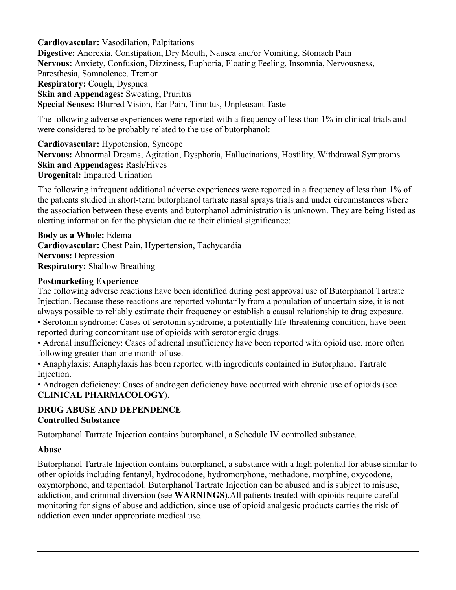**Cardiovascular:** Vasodilation, Palpitations **Digestive:** Anorexia, Constipation, Dry Mouth, Nausea and/or Vomiting, Stomach Pain **Nervous:** Anxiety, Confusion, Dizziness, Euphoria, Floating Feeling, Insomnia, Nervousness, Paresthesia, Somnolence, Tremor **Respiratory:** Cough, Dyspnea **Skin and Appendages:** Sweating, Pruritus **Special Senses:** Blurred Vision, Ear Pain, Tinnitus, Unpleasant Taste

The following adverse experiences were reported with a frequency of less than 1% in clinical trials and were considered to be probably related to the use of butorphanol:

**Cardiovascular:** Hypotension, Syncope **Nervous:** Abnormal Dreams, Agitation, Dysphoria, Hallucinations, Hostility, Withdrawal Symptoms **Skin and Appendages:** Rash/Hives **Urogenital:** Impaired Urination

The following infrequent additional adverse experiences were reported in a frequency of less than 1% of the patients studied in short-term butorphanol tartrate nasal sprays trials and under circumstances where the association between these events and butorphanol administration is unknown. They are being listed as alerting information for the physician due to their clinical significance:

**Body as a Whole:** Edema **Cardiovascular:** Chest Pain, Hypertension, Tachycardia **Nervous:** Depression **Respiratory:** Shallow Breathing

#### **Postmarketing Experience**

The following adverse reactions have been identified during post approval use of Butorphanol Tartrate Injection. Because these reactions are reported voluntarily from a population of uncertain size, it is not always possible to reliably estimate their frequency or establish a causal relationship to drug exposure.

• Serotonin syndrome: Cases of serotonin syndrome, a potentially life-threatening condition, have been reported during concomitant use of opioids with serotonergic drugs.

• Adrenal insufficiency: Cases of adrenal insufficiency have been reported with opioid use, more often following greater than one month of use.

• Anaphylaxis: Anaphylaxis has been reported with ingredients contained in Butorphanol Tartrate Injection.

• Androgen deficiency: Cases of androgen deficiency have occurred with chronic use of opioids (see **CLINICAL PHARMACOLOGY**).

#### **DRUG ABUSE AND DEPENDENCE Controlled Substance**

Butorphanol Tartrate Injection contains butorphanol, a Schedule IV controlled substance.

#### **Abuse**

Butorphanol Tartrate Injection contains butorphanol, a substance with a high potential for abuse similar to other opioids including fentanyl, hydrocodone, hydromorphone, methadone, morphine, oxycodone, oxymorphone, and tapentadol. Butorphanol Tartrate Injection can be abused and is subject to misuse, addiction, and criminal diversion (see **WARNINGS**).All patients treated with opioids require careful monitoring for signs of abuse and addiction, since use of opioid analgesic products carries the risk of addiction even under appropriate medical use.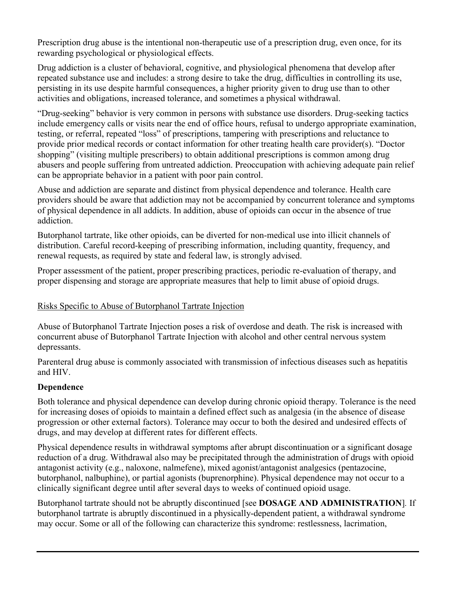Prescription drug abuse is the intentional non-therapeutic use of a prescription drug, even once, for its rewarding psychological or physiological effects.

Drug addiction is a cluster of behavioral, cognitive, and physiological phenomena that develop after repeated substance use and includes: a strong desire to take the drug, difficulties in controlling its use, persisting in its use despite harmful consequences, a higher priority given to drug use than to other activities and obligations, increased tolerance, and sometimes a physical withdrawal.

"Drug-seeking" behavior is very common in persons with substance use disorders. Drug-seeking tactics include emergency calls or visits near the end of office hours, refusal to undergo appropriate examination, testing, or referral, repeated "loss" of prescriptions, tampering with prescriptions and reluctance to provide prior medical records or contact information for other treating health care provider(s). "Doctor shopping" (visiting multiple prescribers) to obtain additional prescriptions is common among drug abusers and people suffering from untreated addiction. Preoccupation with achieving adequate pain relief can be appropriate behavior in a patient with poor pain control.

Abuse and addiction are separate and distinct from physical dependence and tolerance. Health care providers should be aware that addiction may not be accompanied by concurrent tolerance and symptoms of physical dependence in all addicts. In addition, abuse of opioids can occur in the absence of true addiction.

Butorphanol tartrate, like other opioids, can be diverted for non-medical use into illicit channels of distribution. Careful record-keeping of prescribing information, including quantity, frequency, and renewal requests, as required by state and federal law, is strongly advised.

Proper assessment of the patient, proper prescribing practices, periodic re-evaluation of therapy, and proper dispensing and storage are appropriate measures that help to limit abuse of opioid drugs.

## Risks Specific to Abuse of Butorphanol Tartrate Injection

Abuse of Butorphanol Tartrate Injection poses a risk of overdose and death. The risk is increased with concurrent abuse of Butorphanol Tartrate Injection with alcohol and other central nervous system depressants.

Parenteral drug abuse is commonly associated with transmission of infectious diseases such as hepatitis and HIV.

## **Dependence**

Both tolerance and physical dependence can develop during chronic opioid therapy. Tolerance is the need for increasing doses of opioids to maintain a defined effect such as analgesia (in the absence of disease progression or other external factors). Tolerance may occur to both the desired and undesired effects of drugs, and may develop at different rates for different effects.

Physical dependence results in withdrawal symptoms after abrupt discontinuation or a significant dosage reduction of a drug. Withdrawal also may be precipitated through the administration of drugs with opioid antagonist activity (e.g., naloxone, nalmefene), mixed agonist/antagonist analgesics (pentazocine, butorphanol, nalbuphine), or partial agonists (buprenorphine). Physical dependence may not occur to a clinically significant degree until after several days to weeks of continued opioid usage.

Butorphanol tartrate should not be abruptly discontinued [see **DOSAGE AND ADMINISTRATION**]*.* If butorphanol tartrate is abruptly discontinued in a physically-dependent patient, a withdrawal syndrome may occur. Some or all of the following can characterize this syndrome: restlessness, lacrimation,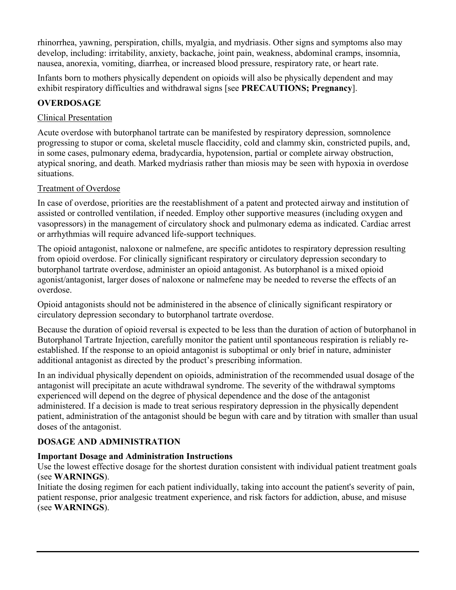rhinorrhea, yawning, perspiration, chills, myalgia, and mydriasis. Other signs and symptoms also may develop, including: irritability, anxiety, backache, joint pain, weakness, abdominal cramps, insomnia, nausea, anorexia, vomiting, diarrhea, or increased blood pressure, respiratory rate, or heart rate.

Infants born to mothers physically dependent on opioids will also be physically dependent and may exhibit respiratory difficulties and withdrawal signs [see **PRECAUTIONS; Pregnancy**].

## **OVERDOSAGE**

## Clinical Presentation

Acute overdose with butorphanol tartrate can be manifested by respiratory depression, somnolence progressing to stupor or coma, skeletal muscle flaccidity, cold and clammy skin, constricted pupils, and, in some cases, pulmonary edema, bradycardia, hypotension, partial or complete airway obstruction, atypical snoring, and death. Marked mydriasis rather than miosis may be seen with hypoxia in overdose situations.

## Treatment of Overdose

In case of overdose, priorities are the reestablishment of a patent and protected airway and institution of assisted or controlled ventilation, if needed. Employ other supportive measures (including oxygen and vasopressors) in the management of circulatory shock and pulmonary edema as indicated. Cardiac arrest or arrhythmias will require advanced life-support techniques.

The opioid antagonist, naloxone or nalmefene, are specific antidotes to respiratory depression resulting from opioid overdose. For clinically significant respiratory or circulatory depression secondary to butorphanol tartrate overdose, administer an opioid antagonist. As butorphanol is a mixed opioid agonist/antagonist, larger doses of naloxone or nalmefene may be needed to reverse the effects of an overdose.

Opioid antagonists should not be administered in the absence of clinically significant respiratory or circulatory depression secondary to butorphanol tartrate overdose.

Because the duration of opioid reversal is expected to be less than the duration of action of butorphanol in Butorphanol Tartrate Injection, carefully monitor the patient until spontaneous respiration is reliably reestablished. If the response to an opioid antagonist is suboptimal or only brief in nature, administer additional antagonist as directed by the product's prescribing information.

In an individual physically dependent on opioids, administration of the recommended usual dosage of the antagonist will precipitate an acute withdrawal syndrome. The severity of the withdrawal symptoms experienced will depend on the degree of physical dependence and the dose of the antagonist administered. If a decision is made to treat serious respiratory depression in the physically dependent patient, administration of the antagonist should be begun with care and by titration with smaller than usual doses of the antagonist.

# **DOSAGE AND ADMINISTRATION**

# **Important Dosage and Administration Instructions**

Use the lowest effective dosage for the shortest duration consistent with individual patient treatment goals (see **WARNINGS**).

Initiate the dosing regimen for each patient individually, taking into account the patient's severity of pain, patient response, prior analgesic treatment experience, and risk factors for addiction, abuse, and misuse (see **WARNINGS**).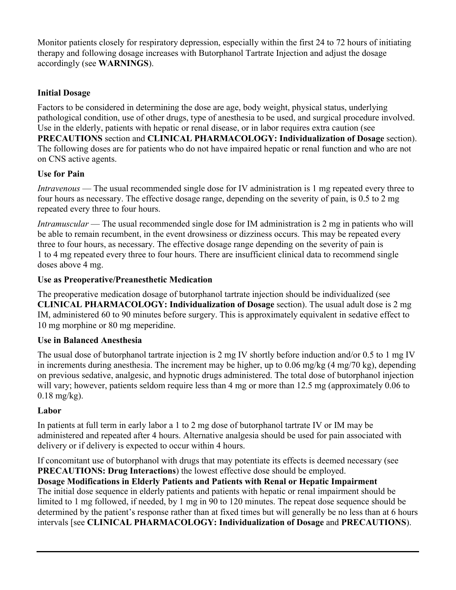Monitor patients closely for respiratory depression, especially within the first 24 to 72 hours of initiating therapy and following dosage increases with Butorphanol Tartrate Injection and adjust the dosage accordingly (see **WARNINGS**).

## **Initial Dosage**

Factors to be considered in determining the dose are age, body weight, physical status, underlying pathological condition, use of other drugs, type of anesthesia to be used, and surgical procedure involved. Use in the elderly, patients with hepatic or renal disease, or in labor requires extra caution (see **PRECAUTIONS** section and **CLINICAL PHARMACOLOGY: Individualization of Dosage** section). The following doses are for patients who do not have impaired hepatic or renal function and who are not on CNS active agents.

## **Use for Pain**

*Intravenous* — The usual recommended single dose for IV administration is 1 mg repeated every three to four hours as necessary. The effective dosage range, depending on the severity of pain, is 0.5 to 2 mg repeated every three to four hours.

*Intramuscular* — The usual recommended single dose for IM administration is 2 mg in patients who will be able to remain recumbent, in the event drowsiness or dizziness occurs. This may be repeated every three to four hours, as necessary. The effective dosage range depending on the severity of pain is 1 to 4 mg repeated every three to four hours. There are insufficient clinical data to recommend single doses above 4 mg.

## **Use as Preoperative/Preanesthetic Medication**

The preoperative medication dosage of butorphanol tartrate injection should be individualized (see **CLINICAL PHARMACOLOGY: Individualization of Dosage** section). The usual adult dose is 2 mg IM, administered 60 to 90 minutes before surgery. This is approximately equivalent in sedative effect to 10 mg morphine or 80 mg meperidine.

## **Use in Balanced Anesthesia**

The usual dose of butorphanol tartrate injection is 2 mg IV shortly before induction and/or 0.5 to 1 mg IV in increments during anesthesia. The increment may be higher, up to 0.06 mg/kg (4 mg/70 kg), depending on previous sedative, analgesic, and hypnotic drugs administered. The total dose of butorphanol injection will vary; however, patients seldom require less than 4 mg or more than 12.5 mg (approximately 0.06 to 0.18 mg/kg).

# **Labor**

In patients at full term in early labor a 1 to 2 mg dose of butorphanol tartrate IV or IM may be administered and repeated after 4 hours. Alternative analgesia should be used for pain associated with delivery or if delivery is expected to occur within 4 hours.

If concomitant use of butorphanol with drugs that may potentiate its effects is deemed necessary (see **PRECAUTIONS: Drug Interactions**) the lowest effective dose should be employed.

**Dosage Modifications in Elderly Patients and Patients with Renal or Hepatic Impairment** The initial dose sequence in elderly patients and patients with hepatic or renal impairment should be limited to 1 mg followed, if needed, by 1 mg in 90 to 120 minutes. The repeat dose sequence should be determined by the patient's response rather than at fixed times but will generally be no less than at 6 hours intervals [see **CLINICAL PHARMACOLOGY: Individualization of Dosage** and **PRECAUTIONS**).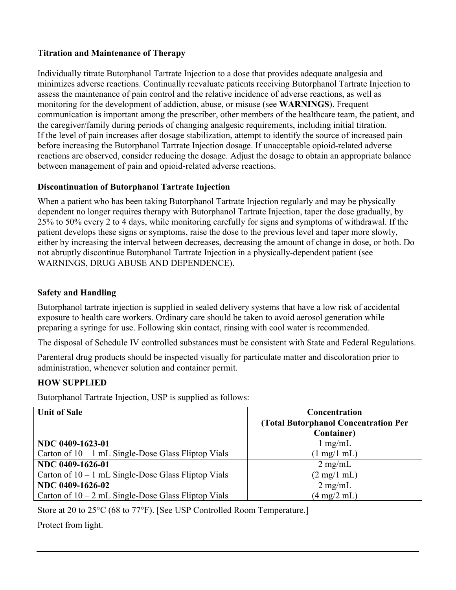## **Titration and Maintenance of Therapy**

Individually titrate Butorphanol Tartrate Injection to a dose that provides adequate analgesia and minimizes adverse reactions. Continually reevaluate patients receiving Butorphanol Tartrate Injection to assess the maintenance of pain control and the relative incidence of adverse reactions, as well as monitoring for the development of addiction, abuse, or misuse (see **WARNINGS**). Frequent communication is important among the prescriber, other members of the healthcare team, the patient, and the caregiver/family during periods of changing analgesic requirements, including initial titration. If the level of pain increases after dosage stabilization, attempt to identify the source of increased pain before increasing the Butorphanol Tartrate Injection dosage. If unacceptable opioid-related adverse reactions are observed, consider reducing the dosage. Adjust the dosage to obtain an appropriate balance between management of pain and opioid-related adverse reactions.

## **Discontinuation of Butorphanol Tartrate Injection**

When a patient who has been taking Butorphanol Tartrate Injection regularly and may be physically dependent no longer requires therapy with Butorphanol Tartrate Injection, taper the dose gradually, by 25% to 50% every 2 to 4 days, while monitoring carefully for signs and symptoms of withdrawal. If the patient develops these signs or symptoms, raise the dose to the previous level and taper more slowly, either by increasing the interval between decreases, decreasing the amount of change in dose, or both. Do not abruptly discontinue Butorphanol Tartrate Injection in a physically-dependent patient (see WARNINGS, DRUG ABUSE AND DEPENDENCE).

#### **Safety and Handling**

Butorphanol tartrate injection is supplied in sealed delivery systems that have a low risk of accidental exposure to health care workers. Ordinary care should be taken to avoid aerosol generation while preparing a syringe for use. Following skin contact, rinsing with cool water is recommended.

The disposal of Schedule IV controlled substances must be consistent with State and Federal Regulations.

Parenteral drug products should be inspected visually for particulate matter and discoloration prior to administration, whenever solution and container permit.

## **HOW SUPPLIED**

Butorphanol Tartrate Injection, USP is supplied as follows:

| <b>Unit of Sale</b>                                   | Concentration<br>(Total Butorphanol Concentration Per |
|-------------------------------------------------------|-------------------------------------------------------|
|                                                       | <b>Container</b> )                                    |
| NDC 0409-1623-01                                      | $1 \text{ mg/mL}$                                     |
| Carton of $10 - 1$ mL Single-Dose Glass Fliptop Vials | $(1 \text{ mg}/1 \text{ mL})$                         |
| NDC 0409-1626-01                                      | $2 \text{ mg/mL}$                                     |
| Carton of $10 - 1$ mL Single-Dose Glass Fliptop Vials | $(2 \text{ mg}/1 \text{ mL})$                         |
| NDC 0409-1626-02                                      | $2 \text{ mg/mL}$                                     |
| Carton of $10 - 2$ mL Single-Dose Glass Fliptop Vials | $(4 \text{ mg}/2 \text{ mL})$                         |

Store at 20 to 25°C (68 to 77°F). [See USP Controlled Room Temperature.]

Protect from light.